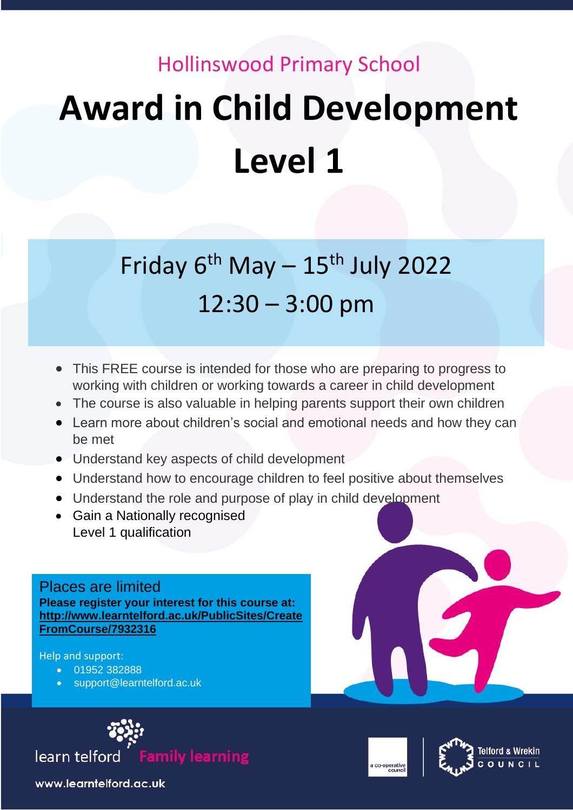## Hollinswood Primary School **Award in Child Development Level 1**

## Friday  $6^{th}$  May  $-15^{th}$  July 2022 12:30 – 3:00 pm

- **9:30 Produce is intended for those who are preparing to progress to <br>• This FREE course is intended for those who are preparing to progress to** working with children or working towards a career in child development
- The course is also valuable in helping parents support their own children
- Learn more about children's social and emotional needs and how they can be met
- Understand key aspects of child development
- Understand how to encourage children to feel positive about themselves
- Understand the role and purpose of play in child development
- **11:30 11:30 11:30 12:30 12:30 12:30 12:30 12:30 12:30** • Gain a Nationally recognised Level 1 qualification

Places are limited **Please register your interest for this course at: [http://www.learntelford.ac.uk/PublicSites/Create](http://www.learntelford.ac.uk/PublicSites/CreateFromCourse/7932316) [FromCourse/7932316](http://www.learntelford.ac.uk/PublicSites/CreateFromCourse/7932316)**

Help and support:

- 01952 382888
- support@learntelford.ac.uk







www.learntelford.ac.uk